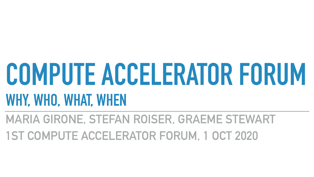# **COMPUTE ACCELERATOR FORUM WHY, WHO, WHAT, WHEN MARIA GIRONE, STEFAN ROISER, GRAEME STEWART 1ST COMPUTE ACCELERATOR FORUM, 1 OCT 2020**

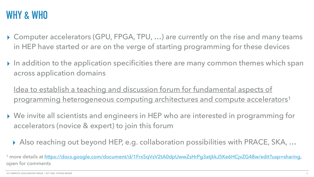programming heterogeneous computing architectures and compute accelerators<sup>1</sup>

<sup>1</sup> more details at [https://docs.google.com/document/d/1Frx5qVsV2tA0dpUwwZsHrPg3atjkkJ5Ke6HCjvZG48w/edit?usp=sharing,](https://docs.google.com/document/d/1Frx5qVsV2tA0dpUwwZsHrPg3atjkkJ5Ke6HCjvZG48w/edit?usp=sharing)





# **WHY & WHO**

- ▸ Computer accelerators (GPU, FPGA, TPU, …) are currently on the rise and many teams in HEP have started or are on the verge of starting programming for these devices
- ▶ In addition to the application specificities there are many common themes which span across application domains

Idea to establish a teaching and discussion forum for fundamental aspects of

- ▸ We invite all scientists and engineers in HEP who are interested in programming for accelerators (novice & expert) to join this forum
	- ▸ Also reaching out beyond HEP, e.g. collaboration possibilities with PRACE, SKA, …

open for comments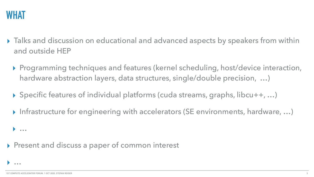

▸ Talks and discussion on educational and advanced aspects by speakers from within



- and outside HEP
	- ▸ Programming techniques and features (kernel scheduling, host/device interaction, hardware abstraction layers, data structures, single/double precision, ...)
	- ▸ Specific features of individual platforms (cuda streams, graphs, libcu++, …)
	- ▸ Infrastructure for engineering with accelerators (SE environments, hardware, …)

▸ …

### ▸ Present and discuss a paper of common interest

▸ …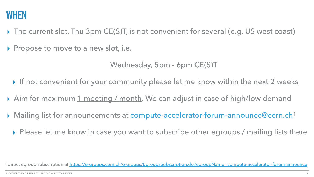## **WHEN**

- 
- ▶ Propose to move to a new slot, i.e.

- 
- 
- -

<sup>1</sup> direct egroup subscription at<https://e-groups.cern.ch/e-groups/EgroupsSubscription.do?egroupName=compute-accelerator-forum-announce>

▸ The current slot, Thu 3pm CE(S)T, is not convenient for several (e.g. US west coast)

#### Wednesday, 5pm - 6pm CE(S)T

▶ If not convenient for your community please let me know within the next 2 weeks

▶ Aim for maximum 1 meeting / month. We can adjust in case of high/low demand

▶ Mailing list for announcements at **compute-accelerator-forum-announce@cern.ch**<sup>1</sup>

▶ Please let me know in case you want to subscribe other egroups / mailing lists there